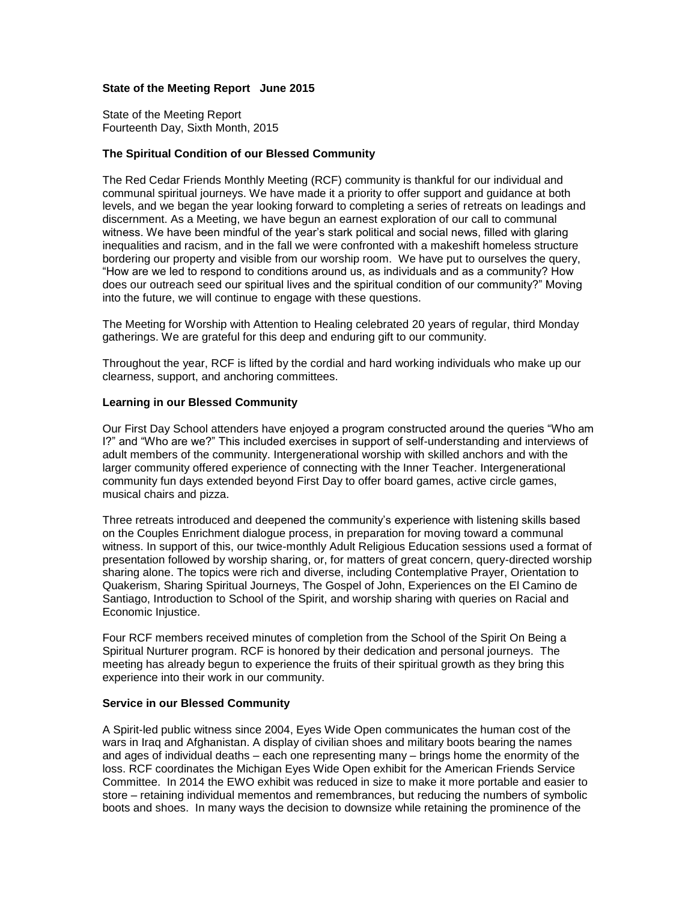# **State of the Meeting Report June 2015**

State of the Meeting Report Fourteenth Day, Sixth Month, 2015

# **The Spiritual Condition of our Blessed Community**

The Red Cedar Friends Monthly Meeting (RCF) community is thankful for our individual and communal spiritual journeys. We have made it a priority to offer support and guidance at both levels, and we began the year looking forward to completing a series of retreats on leadings and discernment. As a Meeting, we have begun an earnest exploration of our call to communal witness. We have been mindful of the year's stark political and social news, filled with glaring inequalities and racism, and in the fall we were confronted with a makeshift homeless structure bordering our property and visible from our worship room. We have put to ourselves the query, "How are we led to respond to conditions around us, as individuals and as a community? How does our outreach seed our spiritual lives and the spiritual condition of our community?" Moving into the future, we will continue to engage with these questions.

The Meeting for Worship with Attention to Healing celebrated 20 years of regular, third Monday gatherings. We are grateful for this deep and enduring gift to our community.

Throughout the year, RCF is lifted by the cordial and hard working individuals who make up our clearness, support, and anchoring committees.

## **Learning in our Blessed Community**

Our First Day School attenders have enjoyed a program constructed around the queries "Who am I?" and "Who are we?" This included exercises in support of self-understanding and interviews of adult members of the community. Intergenerational worship with skilled anchors and with the larger community offered experience of connecting with the Inner Teacher. Intergenerational community fun days extended beyond First Day to offer board games, active circle games, musical chairs and pizza.

Three retreats introduced and deepened the community's experience with listening skills based on the Couples Enrichment dialogue process, in preparation for moving toward a communal witness. In support of this, our twice-monthly Adult Religious Education sessions used a format of presentation followed by worship sharing, or, for matters of great concern, query-directed worship sharing alone. The topics were rich and diverse, including Contemplative Prayer, Orientation to Quakerism, Sharing Spiritual Journeys, The Gospel of John, Experiences on the El Camino de Santiago, Introduction to School of the Spirit, and worship sharing with queries on Racial and Economic Injustice.

Four RCF members received minutes of completion from the School of the Spirit On Being a Spiritual Nurturer program. RCF is honored by their dedication and personal journeys. The meeting has already begun to experience the fruits of their spiritual growth as they bring this experience into their work in our community.

## **Service in our Blessed Community**

A Spirit-led public witness since 2004, Eyes Wide Open communicates the human cost of the wars in Iraq and Afghanistan. A display of civilian shoes and military boots bearing the names and ages of individual deaths – each one representing many – brings home the enormity of the loss. RCF coordinates the Michigan Eyes Wide Open exhibit for the American Friends Service Committee. In 2014 the EWO exhibit was reduced in size to make it more portable and easier to store – retaining individual mementos and remembrances, but reducing the numbers of symbolic boots and shoes. In many ways the decision to downsize while retaining the prominence of the